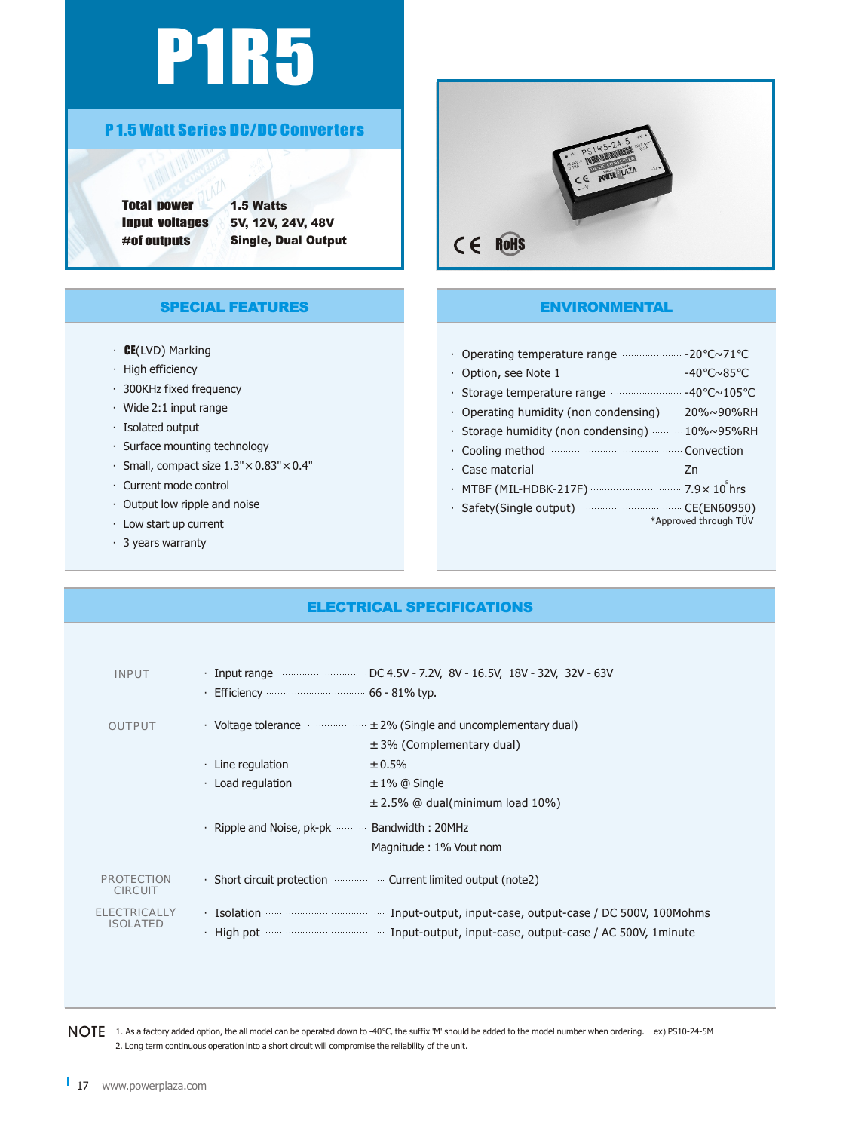# P1R5

#### P 1.5 Watt Series DC/DC Converters

Total power Input voltages #of outputs

1.5 Watts 5V, 12V, 24V, 48V Single, Dual Output

# $C \in R$ OHS

#### ENVIRONMENTAL

| Operating temperature range <b>communities</b> -20                                       | $\sim$ 71             |
|------------------------------------------------------------------------------------------|-----------------------|
|                                                                                          |                       |
|                                                                                          |                       |
| Operating humidity (non condensing) $\cdots$ 20% $\sim$ 90%RH                            |                       |
| • Storage humidity (non condensing) ……… 10%~95%RH                                        |                       |
| Cooling method manufactured convection                                                   |                       |
| Case material <b>Case material</b>                                                       |                       |
| • MTBF (MIL-HDBK-217F) •••••••••••••••••••••••••••••••• 7.9 $\times$ 10 <sup>°</sup> hrs |                       |
| · Safety(Single output) CE(EN60950)                                                      | *Approved through TUV |

### SPECIAL FEATURES

- ·CE(LVD) Marking
- ·High efficiency
- ·300KHz fixed frequency
- ·Wide 2:1 input range
- ·Isolated output
- ·Surface mounting technology
- $\cdot$  Small, compact size  $1.3" \times 0.83" \times 0.4"$
- ·Current mode control
- ·Output low ripple and noise
- ·Low start up current
- ·3 years warranty

#### ELECTRICAL SPECIFICATIONS

| <b>INPUT</b>                           | Efficiency <b>Example 20</b> is $66 - 81\%$ typ.                                                                                                                                                         |
|----------------------------------------|----------------------------------------------------------------------------------------------------------------------------------------------------------------------------------------------------------|
| <b>OUTPUT</b>                          | • Voltage tolerance $\cdots$ $\cdots$ $\cdots$ $\pm$ 2% (Single and uncomplementary dual)<br>$\pm$ 3% (Complementary dual)                                                                               |
|                                        |                                                                                                                                                                                                          |
|                                        | Load regulation $\cdots$ $\pm$ 1% @ Single                                                                                                                                                               |
|                                        | $\pm$ 2.5% @ dual(minimum load 10%)                                                                                                                                                                      |
|                                        | Ripple and Noise, pk-pk  Bandwidth: 20MHz                                                                                                                                                                |
|                                        | Magnitude: 1% Vout nom                                                                                                                                                                                   |
| <b>PROTECTION</b><br><b>CIRCUIT</b>    | . Short circuit protection <b>Summan Surface</b> Current limited output (note2)                                                                                                                          |
| <b>ELECTRICALLY</b><br><b>ISOLATED</b> | . Isolation <b>construently construently interest in the Indian Indian Indian Indian Indian Indian Indian Indian I</b><br>High pot manufacture input-output, input-case, output-case / AC 500V, 1 minute |
|                                        |                                                                                                                                                                                                          |

 $\sf{NOTE}$  1. As a factory added option, the all model can be operated down to -40 , the suffix 'M' should be added to the model number when ordering. ex) PS10-24-5M 2. Long term continuous operation into a short circuit will compromise the reliability of the unit.